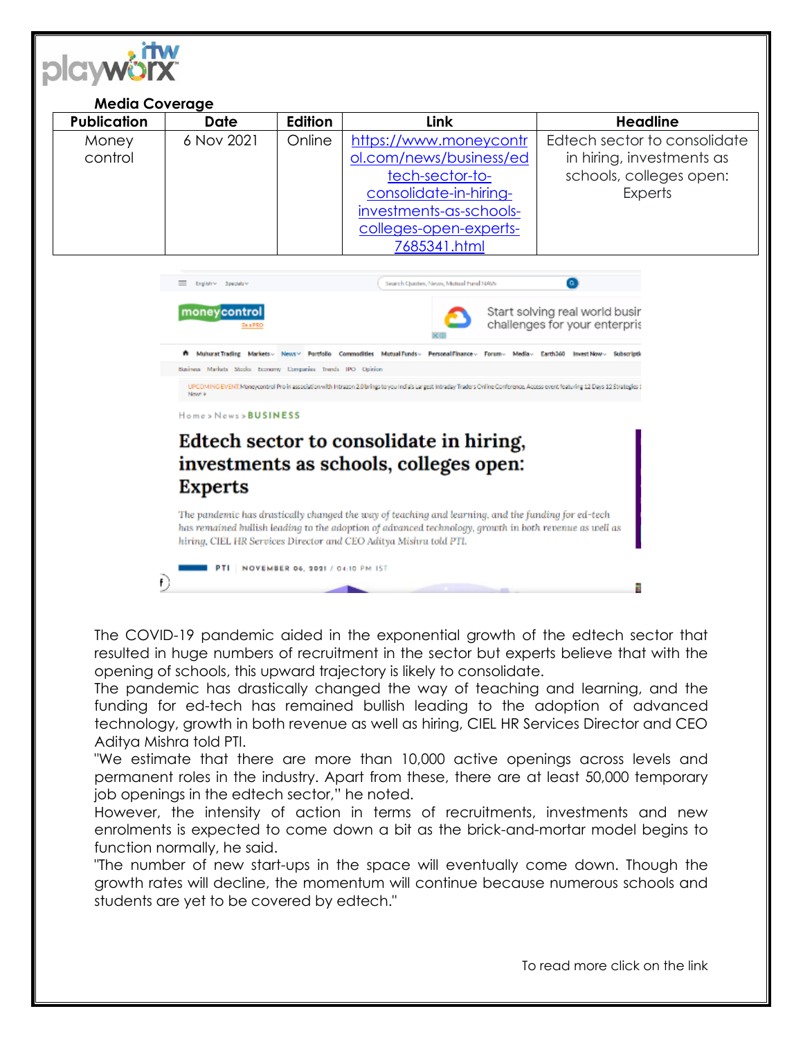

## **Media Coverage Publication Date Edition Link Headline**  6 Nov 2021 Online [https://www.moneycontr](https://www.moneycontrol.com/news/business/edtech-sector-to-consolidate-in-hiring-investments-as-schools-colleges-open-experts-7685341.html) Edtech sector to consolidate **Money** [ol.com/news/business/ed](https://www.moneycontrol.com/news/business/edtech-sector-to-consolidate-in-hiring-investments-as-schools-colleges-open-experts-7685341.html) control in hiring, investments as [tech-sector-to](https://www.moneycontrol.com/news/business/edtech-sector-to-consolidate-in-hiring-investments-as-schools-colleges-open-experts-7685341.html)schools, colleges open: [consolidate-in-hiring-](https://www.moneycontrol.com/news/business/edtech-sector-to-consolidate-in-hiring-investments-as-schools-colleges-open-experts-7685341.html)**Experts** [investments-as-schools](https://www.moneycontrol.com/news/business/edtech-sector-to-consolidate-in-hiring-investments-as-schools-colleges-open-experts-7685341.html)[colleges-open-experts-](https://www.moneycontrol.com/news/business/edtech-sector-to-consolidate-in-hiring-investments-as-schools-colleges-open-experts-7685341.html)[7685341.html](https://www.moneycontrol.com/news/business/edtech-sector-to-consolidate-in-hiring-investments-as-schools-colleges-open-experts-7685341.html) E English v Specials Search Quotes, News, Mutual Fund NAW Start solving real world busir moneycontrol challenges for your enterpris # Muharat Trading Markets - News - Portfolio Commodities Mutual Funds - Personal Finance - Forum - Media - Earth360 Invest Now - Subscriptic Busines Markets Stocks Economy Companies Trends IPO Opinion UPCOMING EVENT. Moneycontrol Pro in association with Intrazon 2.0 brings to you indivising you include y Traders Online Conference. Access event featuring 12 Days 12 Strategies 1<br>New 4 Home>News>BUSINESS Edtech sector to consolidate in hiring, investments as schools, colleges open: **Experts** The pandemic has drastically changed the way of teaching and learning, and the funding for ed-tech has remained bullish leading to the adoption of advanced technology, growth in both revenue as well as hiring, CIEL HR Services Director and CEO Aditya Mishra told PTI. PTI | NOVEMBER 06, 2021 / 04:10 PM IST  $\mathbf{f}$ ÷

The COVID-19 pandemic aided in the exponential growth of the edtech sector that resulted in huge numbers of recruitment in the sector but experts believe that with the opening of schools, this upward trajectory is likely to consolidate.

The pandemic has drastically changed the way of teaching and learning, and the funding for ed-tech has remained bullish leading to the adoption of advanced technology, growth in both revenue as well as hiring, CIEL HR Services Director and CEO Aditya Mishra told PTI.

"We estimate that there are more than 10,000 active openings across levels and permanent roles in the industry. Apart from these, there are at least 50,000 temporary job openings in the edtech sector," he noted.

However, the intensity of action in terms of recruitments, investments and new enrolments is expected to come down a bit as the brick-and-mortar model begins to function normally, he said.

"The number of new start-ups in the space will eventually come down. Though the growth rates will decline, the momentum will continue because numerous schools and students are yet to be covered by edtech."

To read more click on the link